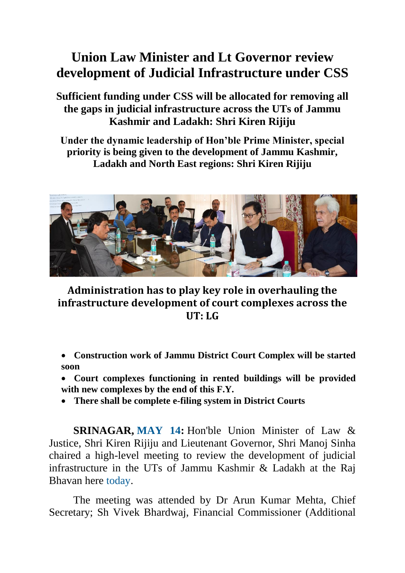## **Union Law Minister and Lt Governor review development of Judicial Infrastructure under CSS**

**Sufficient funding under CSS will be allocated for removing all the gaps in judicial infrastructure across the UTs of Jammu Kashmir and Ladakh: Shri Kiren Rijiju**

**Under the dynamic leadership of Hon'ble Prime Minister, special priority is being given to the development of Jammu Kashmir, Ladakh and North East regions: Shri Kiren Rijiju**



## **Administration has to play key role in overhauling the infrastructure development of court complexes across the UT: LG**

- **Construction work of Jammu District Court Complex will be started soon**
- **Court complexes functioning in rented buildings will be provided with new complexes by the end of this F.Y.**
- **There shall be complete e-filing system in District Courts**

**SRINAGAR, MAY 14:** Hon'ble Union Minister of Law & Justice, Shri Kiren Rijiju and Lieutenant Governor, Shri Manoj Sinha chaired a high-level meeting to review the development of judicial infrastructure in the UTs of Jammu Kashmir & Ladakh at the Raj Bhavan here today.

The meeting was attended by Dr Arun Kumar Mehta, Chief Secretary; Sh Vivek Bhardwaj, Financial Commissioner (Additional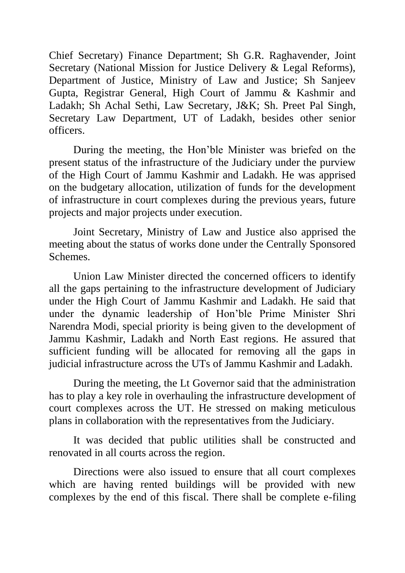Chief Secretary) Finance Department; Sh G.R. Raghavender, Joint Secretary (National Mission for Justice Delivery & Legal Reforms), Department of Justice, Ministry of Law and Justice; Sh Sanjeev Gupta, Registrar General, High Court of Jammu & Kashmir and Ladakh; Sh Achal Sethi, Law Secretary, J&K; Sh. Preet Pal Singh, Secretary Law Department, UT of Ladakh, besides other senior officers.

During the meeting, the Hon'ble Minister was briefed on the present status of the infrastructure of the Judiciary under the purview of the High Court of Jammu Kashmir and Ladakh. He was apprised on the budgetary allocation, utilization of funds for the development of infrastructure in court complexes during the previous years, future projects and major projects under execution.

Joint Secretary, Ministry of Law and Justice also apprised the meeting about the status of works done under the Centrally Sponsored Schemes.

Union Law Minister directed the concerned officers to identify all the gaps pertaining to the infrastructure development of Judiciary under the High Court of Jammu Kashmir and Ladakh. He said that under the dynamic leadership of Hon'ble Prime Minister Shri Narendra Modi, special priority is being given to the development of Jammu Kashmir, Ladakh and North East regions. He assured that sufficient funding will be allocated for removing all the gaps in judicial infrastructure across the UTs of Jammu Kashmir and Ladakh.

During the meeting, the Lt Governor said that the administration has to play a key role in overhauling the infrastructure development of court complexes across the UT. He stressed on making meticulous plans in collaboration with the representatives from the Judiciary.

It was decided that public utilities shall be constructed and renovated in all courts across the region.

Directions were also issued to ensure that all court complexes which are having rented buildings will be provided with new complexes by the end of this fiscal. There shall be complete e-filing